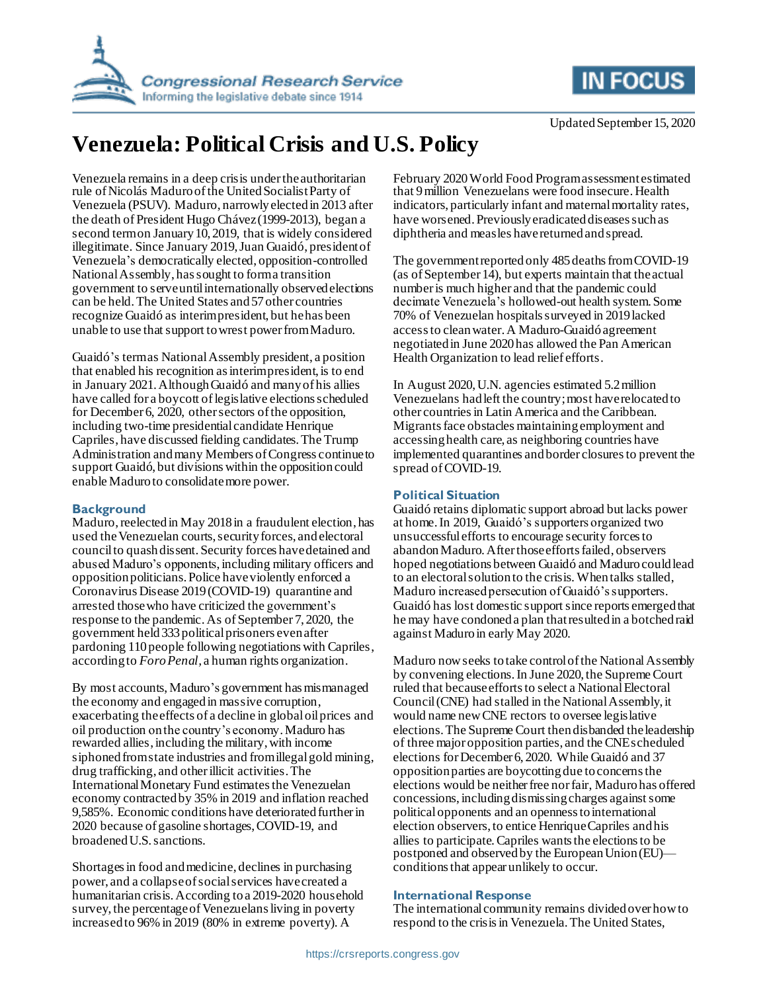



# **Venezuela: Political Crisis and U.S. Policy**

Venezuela remains in a deep crisis under the authoritarian rule of Nicolás Maduro of the United Socialist Party of Venezuela (PSUV). Maduro, narrowly elected in 2013 after the death of President Hugo Chávez (1999-2013), began a second term on January 10, 2019, that is widely considered illegitimate. Since January 2019, Juan Guaidó, president of Venezuela's democratically elected, opposition-controlled National Assembly, has sought to form a transition government to serve until internationally observed elections can be held. The United States and 57 other countries recognize Guaidó as interim president, but he has been unable to use that support to wrest power from Maduro.

Guaidó's term as National Assembly president, a position that enabled his recognition as interim president, is to end in January 2021.AlthoughGuaidó and many of his allies have called for a boycott of legislative elections scheduled for December 6, 2020, other sectors of the opposition, including two-time presidential candidate Henrique Capriles, have discussed fielding candidates.The Trump Administration and many Members of Congress continue to support Guaidó, but divisions within the opposition could enable Maduro to consolidate more power.

#### **Background**

Maduro, reelected in May 2018 in a fraudulent election, has used the Venezuelan courts, security forces, and electoral councilto quash dissent. Security forces have detained and abused Maduro's opponents, including military officers and opposition politicians. Police have violently enforced a Coronavirus Disease 2019 (COVID-19) quarantine and arrested those who have criticized the government's response to the pandemic. As of September 7, 2020, the government held 333political prisoners even after pardoning 110 people following negotiations with Capriles, according to *Foro Penal,* a human rights organization.

By most accounts, Maduro's government has mismanaged the economy and engaged in massive corruption, exacerbating the effects of a decline in global oil prices and oil production on the country's economy. Maduro has rewarded allies, including the military, with income siphoned from state industries and from illegal gold mining, drug trafficking, and other illicit activities. The International Monetary Fund estimates the Venezuelan economy contracted by 35% in 2019 and inflation reached 9,585%. Economic conditions have deteriorated further in 2020 because of gasoline shortages, COVID-19, and broadened U.S. sanctions.

Shortages in food and medicine, declines in purchasing power, and a collapse of social services have created a humanitarian crisis. According to a 2019-2020 household survey, the percentage of Venezuelans living in poverty increased to 96% in 2019 (80% in extreme poverty). A

February 2020 World Food Program assessment estimated that 9 million Venezuelans were food insecure. Health indicators, particularly infant and maternal mortality rates, have worsened. Previously eradicated diseases such as diphtheria and measles have returned and spread.

The government reported only 485deaths from COVID-19 (as of September 14), but experts maintain that the actual number is much higher and that the pandemic could decimate Venezuela's hollowed-out health system.Some 70% of Venezuelan hospitals surveyed in 2019 lacked access to clean water.A Maduro-Guaidó agreement negotiated in June 2020has allowed the Pan American Health Organization to lead relief efforts.

In August 2020, U.N. agencies estimated 5.2 million Venezuelans had left the country; most have relocated to other countries in Latin America and the Caribbean. Migrants face obstacles maintaining employment and accessing health care, as neighboring countries have implemented quarantines and border closures to prevent the spread of COVID-19.

## **Political Situation**

Guaidó retains diplomatic support abroad but lacks power at home. In 2019, Guaidó's supporters organized two unsuccessful efforts to encourage security forces to abandon Maduro. After those efforts failed, observers hoped negotiations between Guaidó and Maduro could lead to an electoral solution to the crisis. When talks stalled, Maduro increased persecution of Guaidó's supporters. Guaidó has lost domestic support since reports emerged that he may have condoned a plan that resulted in a botched raid against Maduro in early May 2020.

Maduro now seeks to take control of the National Assembly by convening elections.In June 2020, the Supreme Court ruled that becauseefforts to select a National Electoral Council (CNE) had stalled in the National Assembly, it would name new CNE rectors to oversee legislative elections.The Supreme Court thendisbanded the leadership of three major opposition parties, and the CNE scheduled elections for December 6, 2020. While Guaidó and 37 opposition parties are boycottingdue to concerns the elections would be neither free nor fair, Maduro has offered concessions, including dismissing charges against some political opponents and an openness to international election observers, to entice Henrique Capriles and his allies to participate.Capriles wants the elections to be postponed and observed by the European Union (EU) conditions that appear unlikely to occur.

### **International Response**

The international community remains divided over how to respond to the crisis in Venezuela. The United States,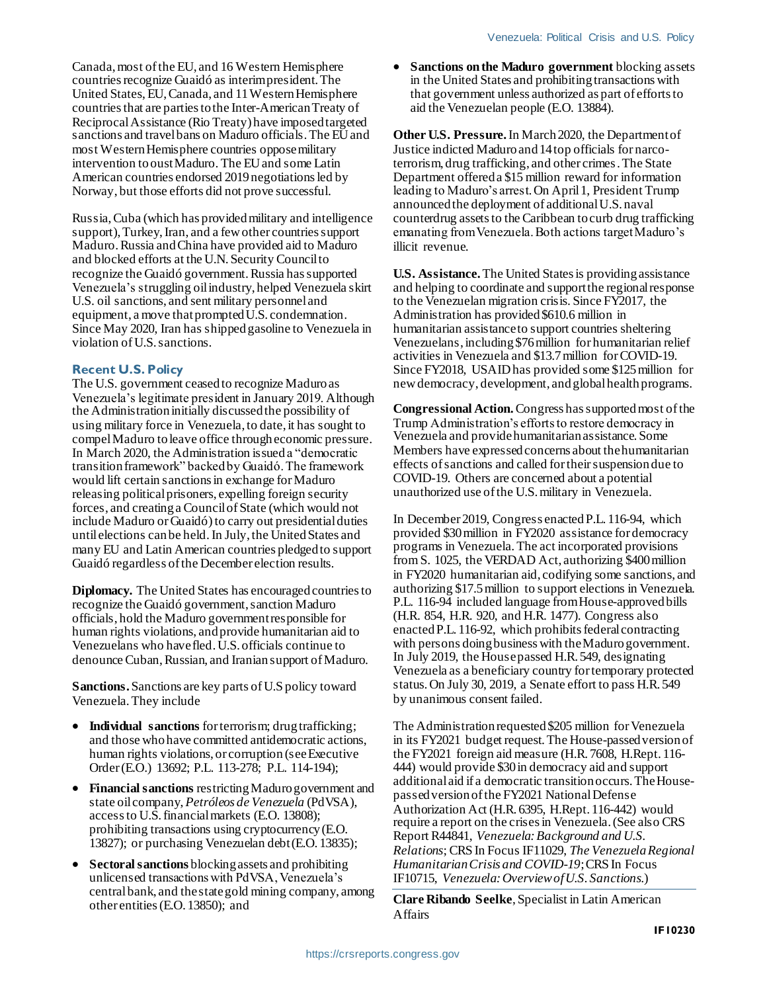Canada, most of the EU, and 16 Western Hemisphere countries recognize Guaidó as interimpresident. The United States, EU,Canada, and 11 Western Hemisphere countries that are parties to the Inter-American Treaty of Reciprocal Assistance (Rio Treaty) have imposed targeted sanctions and travel bans on Maduro officials. The EU and most Western Hemisphere countries oppose military intervention to oust Maduro. The EU and some Latin American countries endorsed 2019 negotiations led by Norway, but those efforts did not prove successful.

Russia, Cuba (which has provided military and intelligence support), Turkey, Iran, and a few other countries support Maduro.Russia and China have provided aid to Maduro and blocked efforts at the U.N. Security Council to recognize the Guaidó government. Russia has supported Venezuela's struggling oil industry, helped Venezuela skirt U.S. oil sanctions, and sent military personnel and equipment, a move that prompted U.S. condemnation. Since May 2020, Iran has shipped gasoline to Venezuela in violation of U.S. sanctions.

#### **Recent U.S. Policy**

The U.S. government ceased to recognize Maduro as Venezuela's legitimate president in January 2019. Although the Administration initially discussed the possibility of using military force in Venezuela, to date, it has sought to compel Maduro to leave office through economic pressure. In March 2020, the Administration issued a "democratic transition framework" backed by Guaidó. The framework would lift certain sanctions in exchange for Maduro releasing political prisoners, expelling foreign security forces, and creatinga Council of State (which would not include Maduro or Guaidó) to carry out presidential duties until elections can be held. In July, the United States and many EU and Latin American countries pledged to support Guaidó regardless of the December election results.

**Diplomacy.** The United States has encouraged countries to recognize the Guaidó government, sanction Maduro officials, hold the Maduro government responsible for human rights violations, and provide humanitarian aid to Venezuelans who have fled.U.S. officials continue to denounce Cuban, Russian, and Iranian support of Maduro.

**Sanctions.**Sanctions are key parts of U.S policy toward Venezuela.They include

- **Individual sanctions** for terrorism; drug trafficking; and those who have committed antidemocratic actions, human rights violations, or corruption (seeExecutive Order (E.O.) 13692; P.L. 113-278; P.L. 114-194);
- **Financial sanctions** restricting Maduro government and state oil company, *Petróleos de Venezuela* (PdVSA), access to U.S. financial markets (E.O. 13808); prohibiting transactions using cryptocurrency (E.O. 13827); or purchasing Venezuelan debt (E.O. 13835);
- **Sectoral sanctions** blocking assets and prohibiting unlicensed transactions with PdVSA, Venezuela's central bank, and the state gold mining company, among other entities(E.O. 13850); and

 **Sanctions on the Maduro government** blocking assets in the United States and prohibitingtransactions with that government unless authorized as part of efforts to aid the Venezuelan people (E.O. 13884).

**Other U.S. Pressure.** In March 2020, the Department of Justice indicted Maduro and 14 top officials for narcoterrorism, drug trafficking, and other crimes. The State Department offered a \$15 million reward for information leading to Maduro's arrest.On April 1, President Trump announced the deployment of additional U.S. naval counterdrug assets to the Caribbean to curb drug trafficking emanating from Venezuela. Both actions target Maduro's illicit revenue.

**U.S. Assistance.**The United States is providing assistance and helping to coordinate and support the regional response to the Venezuelan migration crisis. Since FY2017, the Administration has provided \$610.6 million in humanitarian assistance to support countries sheltering Venezuelans, including \$76million for humanitarian relief activities in Venezuela and \$13.7million forCOVID-19. Since FY2018, USAID has provided some \$125million for new democracy, development, and global health programs.

**Congressional Action.**Congress has supported most of the Trump Administration's efforts to restore democracy in Venezuela and provide humanitarian assistance. Some Members have expressed concerns about the humanitarian effects of sanctions and called for their suspensiondue to COVID-19. Others are concerned about a potential unauthorized use of the U.S. military in Venezuela.

In December 2019, Congress enacted P.L. 116-94, which provided \$30 million in FY2020 assistance for democracy programs in Venezuela. The act incorporated provisions from S. 1025, the VERDAD Act, authorizing \$400 million in FY2020 humanitarian aid, codifying some sanctions, and authorizing \$17.5 million to support elections in Venezuela. P.L. 116-94 included language from House-approved bills (H.R. 854, H.R. 920, and H.R. 1477). Congress also enactedP.L. 116-92, which prohibits federal contracting with persons doing business with the Maduro government. In July 2019, the House passed H.R. 549, designating Venezuela as a beneficiary country for temporary protected status.On July 30, 2019, a Senate effort to pass H.R. 549 by unanimous consent failed.

The Administration requested\$205 million for Venezuela in its FY2021 budget request.The House-passedversion of the FY2021 foreign aid measure (H.R. 7608, H.Rept. 116- 444) would provide \$30 in democracy aid and support additional aid if a democratic transition occurs. The Housepassed version of the FY2021 National Defense Authorization Act (H.R. 6395, H.Rept. 116-442) would require a report on the crises in Venezuela.(See also CRS Report R44841, *Venezuela: Background and U.S. Relations*; CRS In Focus IF11029, *The Venezuela Regional Humanitarian Crisis and COVID-19*;CRS In Focus IF10715, *Venezuela: Overview of U.S. Sanctions*.)

**Clare Ribando Seelke**, Specialist in Latin American Affairs